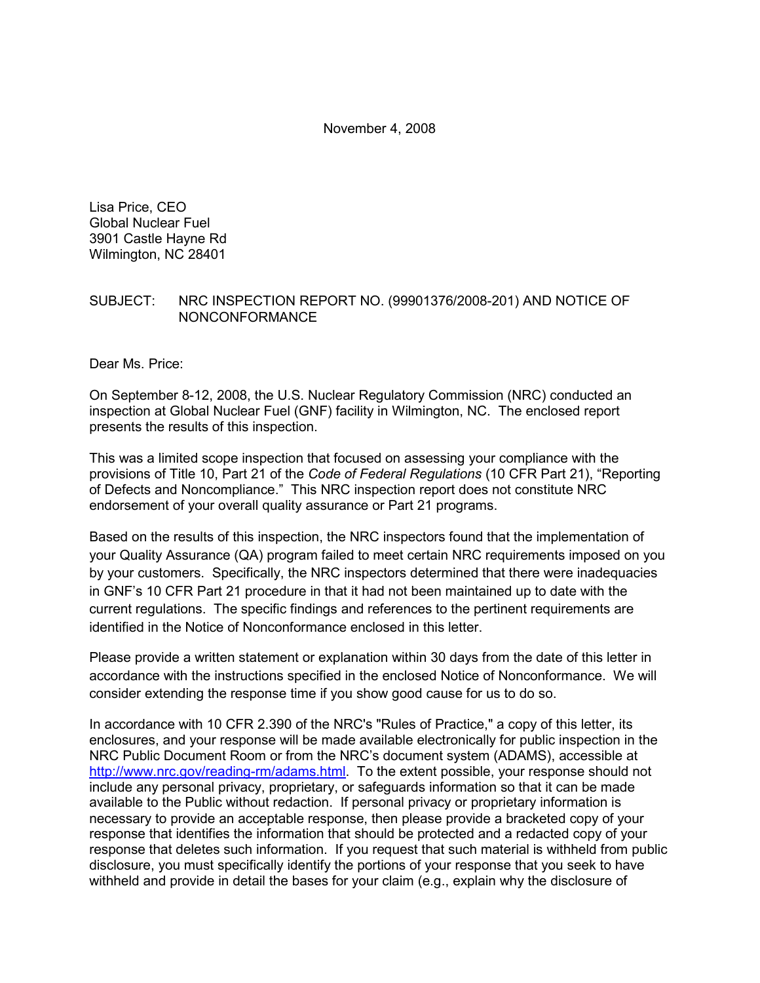November 4, 2008

Lisa Price, CEO Global Nuclear Fuel 3901 Castle Hayne Rd Wilmington, NC 28401

#### SUBJECT: NRC INSPECTION REPORT NO. (99901376/2008-201) AND NOTICE OF NONCONFORMANCE

Dear Ms. Price:

On September 8-12, 2008, the U.S. Nuclear Regulatory Commission (NRC) conducted an inspection at Global Nuclear Fuel (GNF) facility in Wilmington, NC. The enclosed report presents the results of this inspection.

This was a limited scope inspection that focused on assessing your compliance with the provisions of Title 10, Part 21 of the *Code of Federal Regulations* (10 CFR Part 21), "Reporting of Defects and Noncompliance." This NRC inspection report does not constitute NRC endorsement of your overall quality assurance or Part 21 programs.

Based on the results of this inspection, the NRC inspectors found that the implementation of your Quality Assurance (QA) program failed to meet certain NRC requirements imposed on you by your customers. Specifically, the NRC inspectors determined that there were inadequacies in GNF's 10 CFR Part 21 procedure in that it had not been maintained up to date with the current regulations. The specific findings and references to the pertinent requirements are identified in the Notice of Nonconformance enclosed in this letter.

Please provide a written statement or explanation within 30 days from the date of this letter in accordance with the instructions specified in the enclosed Notice of Nonconformance. We will consider extending the response time if you show good cause for us to do so.

In accordance with 10 CFR 2.390 of the NRC's "Rules of Practice," a copy of this letter, its enclosures, and your response will be made available electronically for public inspection in the NRC Public Document Room or from the NRC's document system (ADAMS), accessible at http://www.nrc.gov/reading-rm/adams.html. To the extent possible, your response should not include any personal privacy, proprietary, or safeguards information so that it can be made available to the Public without redaction. If personal privacy or proprietary information is necessary to provide an acceptable response, then please provide a bracketed copy of your response that identifies the information that should be protected and a redacted copy of your response that deletes such information. If you request that such material is withheld from public disclosure, you must specifically identify the portions of your response that you seek to have withheld and provide in detail the bases for your claim (e.g., explain why the disclosure of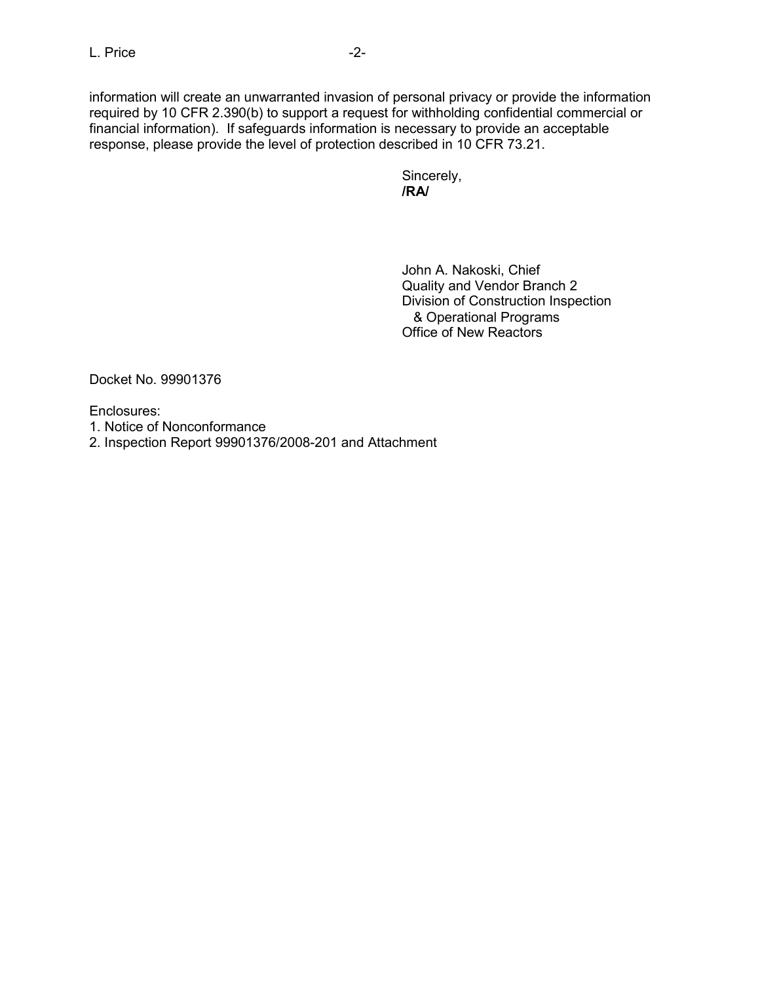information will create an unwarranted invasion of personal privacy or provide the information required by 10 CFR 2.390(b) to support a request for withholding confidential commercial or financial information). If safeguards information is necessary to provide an acceptable response, please provide the level of protection described in 10 CFR 73.21.

 Sincerely, **/RA/** 

> John A. Nakoski, Chief Quality and Vendor Branch 2 Division of Construction Inspection & Operational Programs Office of New Reactors

Docket No. 99901376

Enclosures:

- 1. Notice of Nonconformance
- 2. Inspection Report 99901376/2008-201 and Attachment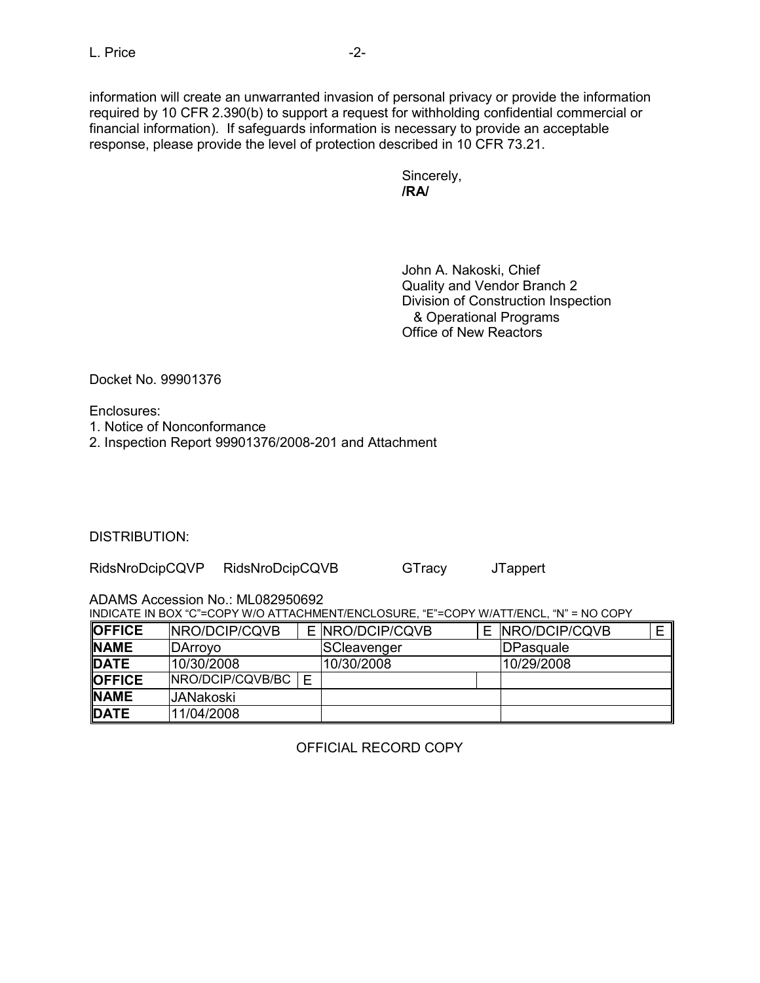information will create an unwarranted invasion of personal privacy or provide the information required by 10 CFR 2.390(b) to support a request for withholding confidential commercial or financial information). If safeguards information is necessary to provide an acceptable response, please provide the level of protection described in 10 CFR 73.21.

 Sincerely, **/RA/**

> John A. Nakoski, Chief Quality and Vendor Branch 2 Division of Construction Inspection & Operational Programs Office of New Reactors

Docket No. 99901376

Enclosures:

- 1. Notice of Nonconformance
- 2. Inspection Report 99901376/2008-201 and Attachment

DISTRIBUTION:

RidsNroDcipCQVP RidsNroDcipCQVB GTracy JTappert

ADAMS Accession No.: ML082950692

INDICATE IN BOX "C"=COPY W/O ATTACHMENT/ENCLOSURE, "E"=COPY W/ATT/ENCL, "N" = NO COPY

| <b>OFFICE</b> | <b>INRO/DCIP/CQVB</b> |   | E INRO/DCIP/CQVB | E INRO/DCIP/CQVB  |  |
|---------------|-----------------------|---|------------------|-------------------|--|
| <b>NAME</b>   | DArrovo               |   | SCleavenger      | <b>IDPasquale</b> |  |
| DATE          | 10/30/2008            |   | 10/30/2008       | 10/29/2008        |  |
| <b>OFFICE</b> | INRO/DCIP/CQVB/BC     | F |                  |                   |  |
| <b>NAME</b>   | IJANakoski            |   |                  |                   |  |
| DATE          | 11/04/2008            |   |                  |                   |  |

OFFICIAL RECORD COPY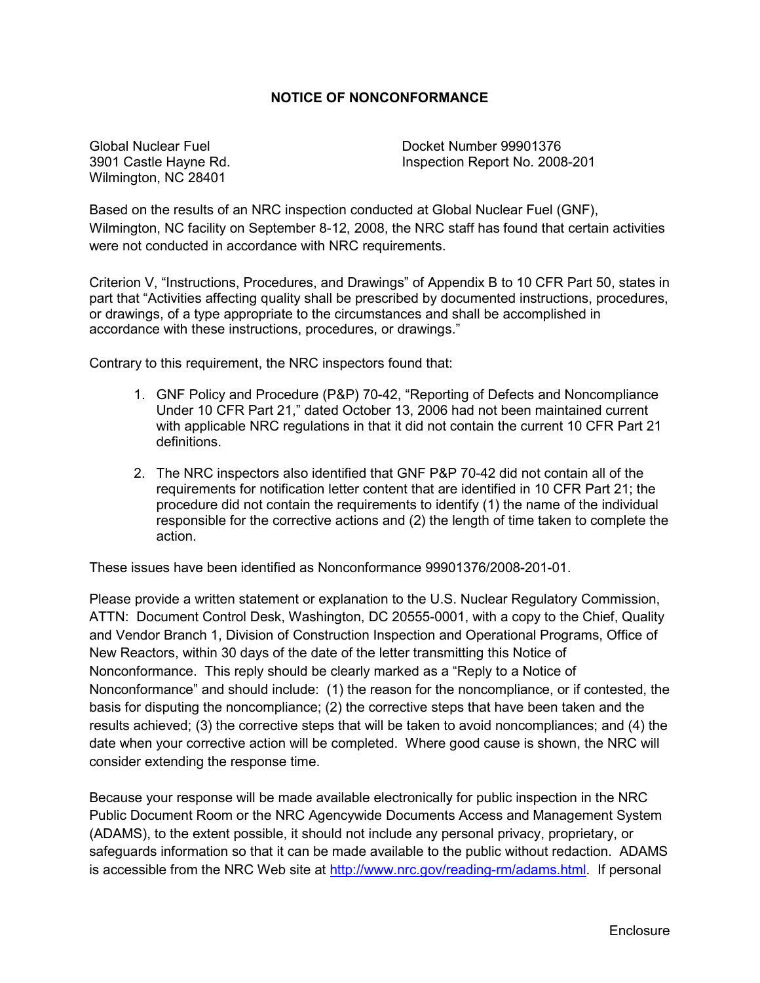#### **NOTICE OF NONCONFORMANCE**

Wilmington, NC 28401

Global Nuclear Fuel Docket Number 99901376 3901 Castle Hayne Rd. Inspection Report No. 2008-201

Based on the results of an NRC inspection conducted at Global Nuclear Fuel (GNF), Wilmington, NC facility on September 8-12, 2008, the NRC staff has found that certain activities were not conducted in accordance with NRC requirements.

Criterion V, "Instructions, Procedures, and Drawings" of Appendix B to 10 CFR Part 50, states in part that "Activities affecting quality shall be prescribed by documented instructions, procedures, or drawings, of a type appropriate to the circumstances and shall be accomplished in accordance with these instructions, procedures, or drawings."

Contrary to this requirement, the NRC inspectors found that:

- 1. GNF Policy and Procedure (P&P) 70-42, "Reporting of Defects and Noncompliance Under 10 CFR Part 21," dated October 13, 2006 had not been maintained current with applicable NRC regulations in that it did not contain the current 10 CFR Part 21 definitions.
- 2. The NRC inspectors also identified that GNF P&P 70-42 did not contain all of the requirements for notification letter content that are identified in 10 CFR Part 21; the procedure did not contain the requirements to identify (1) the name of the individual responsible for the corrective actions and (2) the length of time taken to complete the action.

These issues have been identified as Nonconformance 99901376/2008-201-01.

Please provide a written statement or explanation to the U.S. Nuclear Regulatory Commission, ATTN: Document Control Desk, Washington, DC 20555-0001, with a copy to the Chief, Quality and Vendor Branch 1, Division of Construction Inspection and Operational Programs, Office of New Reactors, within 30 days of the date of the letter transmitting this Notice of Nonconformance. This reply should be clearly marked as a "Reply to a Notice of Nonconformance" and should include: (1) the reason for the noncompliance, or if contested, the basis for disputing the noncompliance; (2) the corrective steps that have been taken and the results achieved; (3) the corrective steps that will be taken to avoid noncompliances; and (4) the date when your corrective action will be completed. Where good cause is shown, the NRC will consider extending the response time.

Because your response will be made available electronically for public inspection in the NRC Public Document Room or the NRC Agencywide Documents Access and Management System (ADAMS), to the extent possible, it should not include any personal privacy, proprietary, or safeguards information so that it can be made available to the public without redaction. ADAMS is accessible from the NRC Web site at http://www.nrc.gov/reading-rm/adams.html. If personal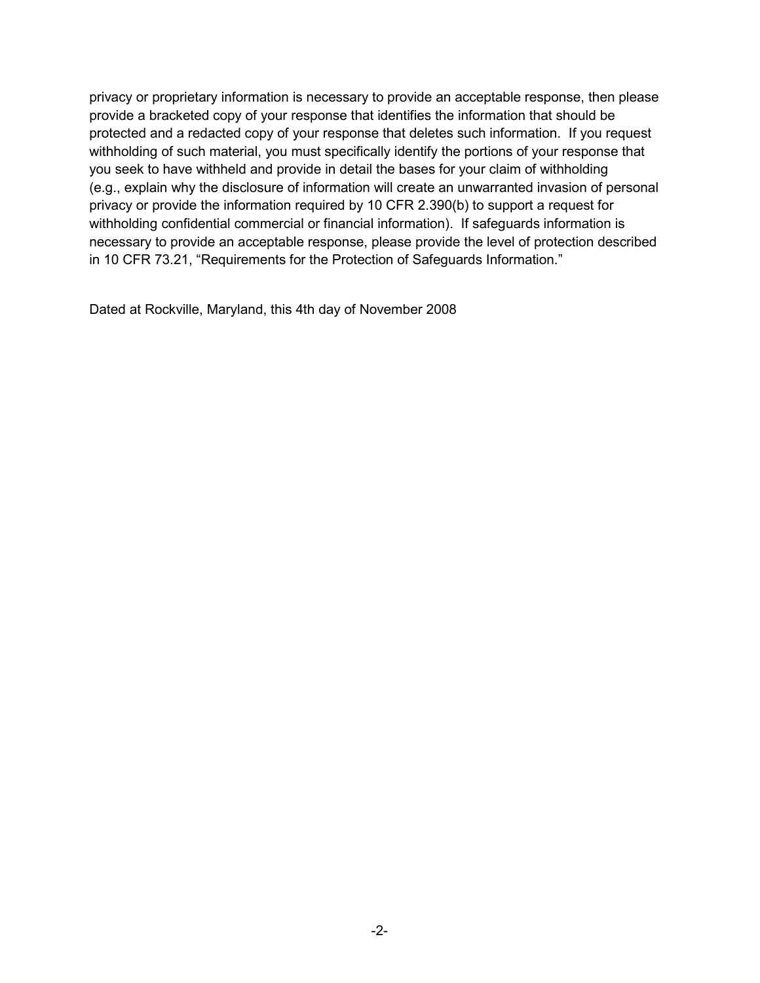privacy or proprietary information is necessary to provide an acceptable response, then please provide a bracketed copy of your response that identifies the information that should be protected and a redacted copy of your response that deletes such information. If you request withholding of such material, you must specifically identify the portions of your response that you seek to have withheld and provide in detail the bases for your claim of withholding (e.g., explain why the disclosure of information will create an unwarranted invasion of personal privacy or provide the information required by 10 CFR 2.390(b) to support a request for withholding confidential commercial or financial information). If safeguards information is necessary to provide an acceptable response, please provide the level of protection described in 10 CFR 73.21, "Requirements for the Protection of Safeguards Information."

Dated at Rockville, Maryland, this 4th day of November 2008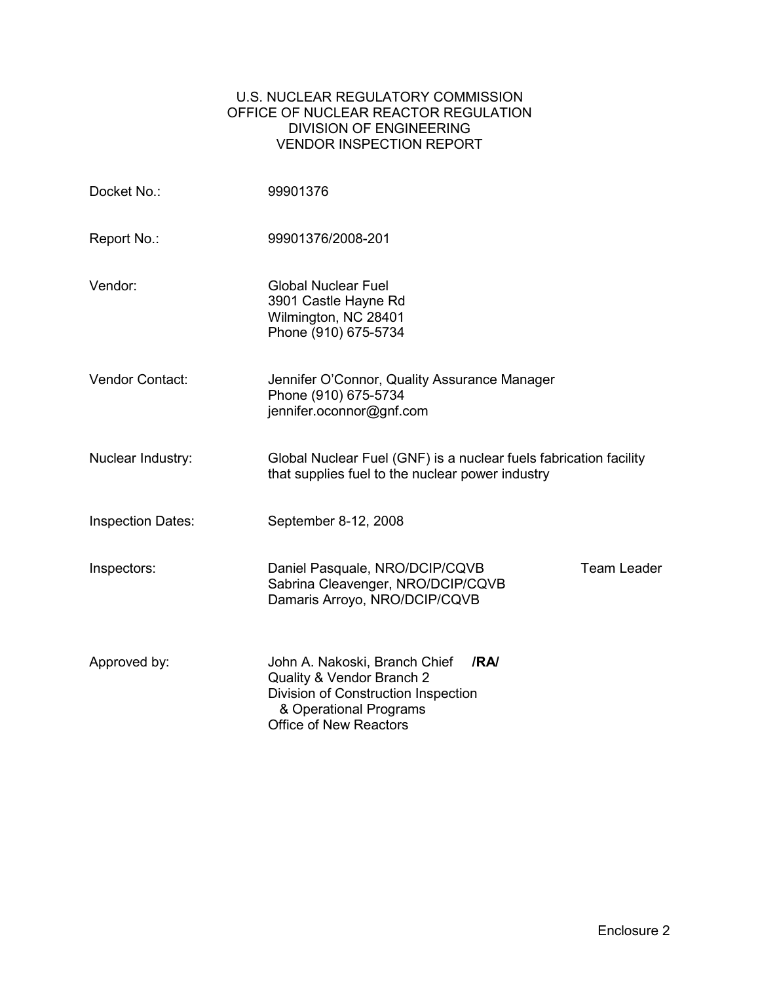#### U.S. NUCLEAR REGULATORY COMMISSION OFFICE OF NUCLEAR REACTOR REGULATION DIVISION OF ENGINEERING VENDOR INSPECTION REPORT

| Docket No.:              | 99901376                                                                                                                                                             |
|--------------------------|----------------------------------------------------------------------------------------------------------------------------------------------------------------------|
| Report No.:              | 99901376/2008-201                                                                                                                                                    |
| Vendor:                  | <b>Global Nuclear Fuel</b><br>3901 Castle Hayne Rd<br>Wilmington, NC 28401<br>Phone (910) 675-5734                                                                   |
| Vendor Contact:          | Jennifer O'Connor, Quality Assurance Manager<br>Phone (910) 675-5734<br>jennifer.oconnor@gnf.com                                                                     |
| Nuclear Industry:        | Global Nuclear Fuel (GNF) is a nuclear fuels fabrication facility<br>that supplies fuel to the nuclear power industry                                                |
| <b>Inspection Dates:</b> | September 8-12, 2008                                                                                                                                                 |
| Inspectors:              | <b>Team Leader</b><br>Daniel Pasquale, NRO/DCIP/CQVB<br>Sabrina Cleavenger, NRO/DCIP/CQVB<br>Damaris Arroyo, NRO/DCIP/CQVB                                           |
| Approved by:             | John A. Nakoski, Branch Chief<br>IRAI<br>Quality & Vendor Branch 2<br>Division of Construction Inspection<br>& Operational Programs<br><b>Office of New Reactors</b> |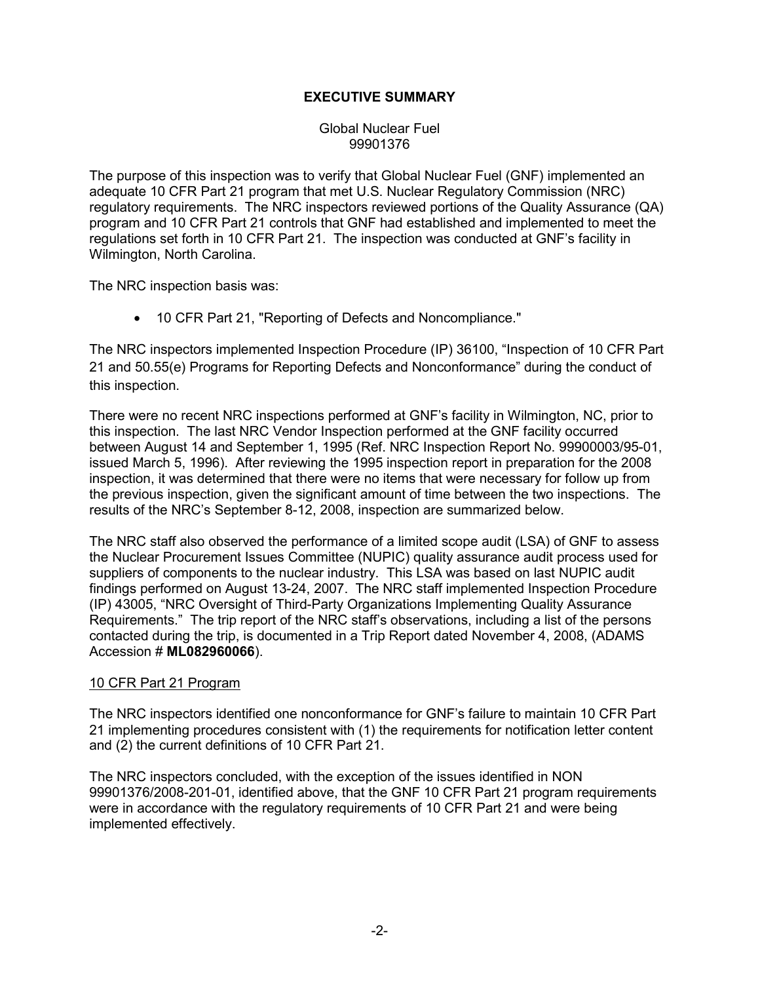### **EXECUTIVE SUMMARY**

#### Global Nuclear Fuel 99901376

The purpose of this inspection was to verify that Global Nuclear Fuel (GNF) implemented an adequate 10 CFR Part 21 program that met U.S. Nuclear Regulatory Commission (NRC) regulatory requirements. The NRC inspectors reviewed portions of the Quality Assurance (QA) program and 10 CFR Part 21 controls that GNF had established and implemented to meet the regulations set forth in 10 CFR Part 21. The inspection was conducted at GNF's facility in Wilmington, North Carolina.

The NRC inspection basis was:

• 10 CFR Part 21, "Reporting of Defects and Noncompliance."

The NRC inspectors implemented Inspection Procedure (IP) 36100, "Inspection of 10 CFR Part 21 and 50.55(e) Programs for Reporting Defects and Nonconformance" during the conduct of this inspection.

There were no recent NRC inspections performed at GNF's facility in Wilmington, NC, prior to this inspection. The last NRC Vendor Inspection performed at the GNF facility occurred between August 14 and September 1, 1995 (Ref. NRC Inspection Report No. 99900003/95-01, issued March 5, 1996). After reviewing the 1995 inspection report in preparation for the 2008 inspection, it was determined that there were no items that were necessary for follow up from the previous inspection, given the significant amount of time between the two inspections. The results of the NRC's September 8-12, 2008, inspection are summarized below.

The NRC staff also observed the performance of a limited scope audit (LSA) of GNF to assess the Nuclear Procurement Issues Committee (NUPIC) quality assurance audit process used for suppliers of components to the nuclear industry. This LSA was based on last NUPIC audit findings performed on August 13-24, 2007. The NRC staff implemented Inspection Procedure (IP) 43005, "NRC Oversight of Third-Party Organizations Implementing Quality Assurance Requirements." The trip report of the NRC staff's observations, including a list of the persons contacted during the trip, is documented in a Trip Report dated November 4, 2008, (ADAMS Accession # **ML082960066**).

### 10 CFR Part 21 Program

The NRC inspectors identified one nonconformance for GNF's failure to maintain 10 CFR Part 21 implementing procedures consistent with (1) the requirements for notification letter content and (2) the current definitions of 10 CFR Part 21.

The NRC inspectors concluded, with the exception of the issues identified in NON 99901376/2008-201-01, identified above, that the GNF 10 CFR Part 21 program requirements were in accordance with the regulatory requirements of 10 CFR Part 21 and were being implemented effectively.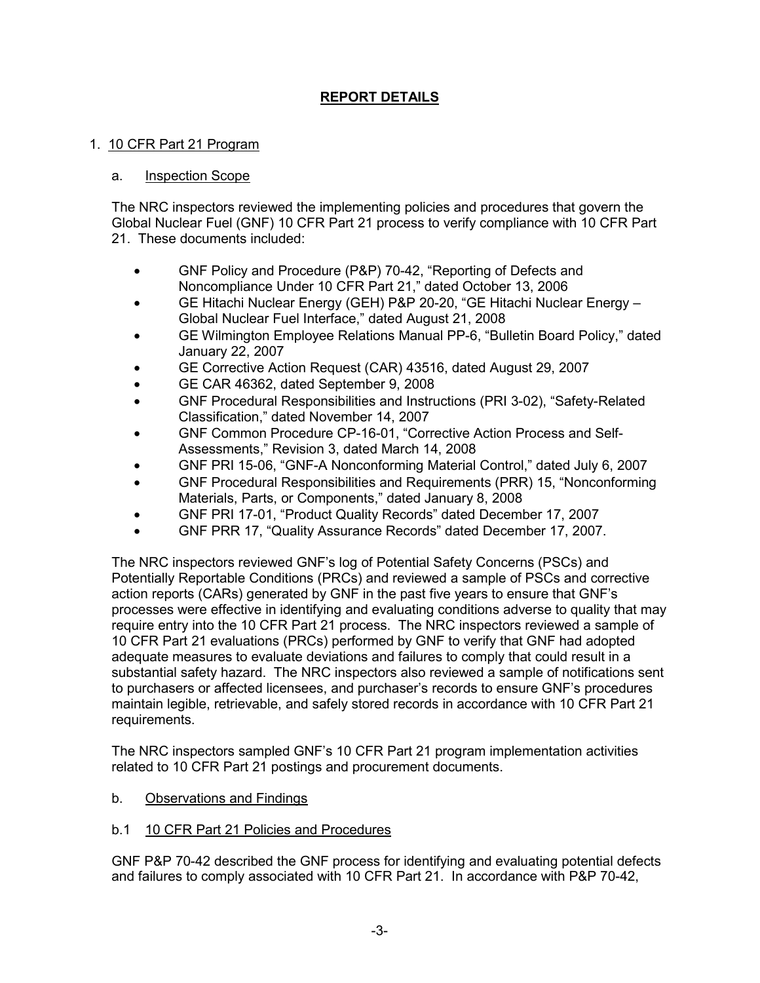# **REPORT DETAILS**

### 1. 10 CFR Part 21 Program

### a. Inspection Scope

The NRC inspectors reviewed the implementing policies and procedures that govern the Global Nuclear Fuel (GNF) 10 CFR Part 21 process to verify compliance with 10 CFR Part 21. These documents included:

- GNF Policy and Procedure (P&P) 70-42, "Reporting of Defects and Noncompliance Under 10 CFR Part 21," dated October 13, 2006
- GE Hitachi Nuclear Energy (GEH) P&P 20-20, "GE Hitachi Nuclear Energy Global Nuclear Fuel Interface," dated August 21, 2008
- GE Wilmington Employee Relations Manual PP-6, "Bulletin Board Policy," dated January 22, 2007
- GE Corrective Action Request (CAR) 43516, dated August 29, 2007
- GE CAR 46362, dated September 9, 2008
- GNF Procedural Responsibilities and Instructions (PRI 3-02), "Safety-Related Classification," dated November 14, 2007
- GNF Common Procedure CP-16-01, "Corrective Action Process and Self-Assessments," Revision 3, dated March 14, 2008
- GNF PRI 15-06, "GNF-A Nonconforming Material Control," dated July 6, 2007
- GNF Procedural Responsibilities and Requirements (PRR) 15, "Nonconforming Materials, Parts, or Components," dated January 8, 2008
- GNF PRI 17-01, "Product Quality Records" dated December 17, 2007
- GNF PRR 17, "Quality Assurance Records" dated December 17, 2007.

The NRC inspectors reviewed GNF's log of Potential Safety Concerns (PSCs) and Potentially Reportable Conditions (PRCs) and reviewed a sample of PSCs and corrective action reports (CARs) generated by GNF in the past five years to ensure that GNF's processes were effective in identifying and evaluating conditions adverse to quality that may require entry into the 10 CFR Part 21 process. The NRC inspectors reviewed a sample of 10 CFR Part 21 evaluations (PRCs) performed by GNF to verify that GNF had adopted adequate measures to evaluate deviations and failures to comply that could result in a substantial safety hazard. The NRC inspectors also reviewed a sample of notifications sent to purchasers or affected licensees, and purchaser's records to ensure GNF's procedures maintain legible, retrievable, and safely stored records in accordance with 10 CFR Part 21 requirements.

The NRC inspectors sampled GNF's 10 CFR Part 21 program implementation activities related to 10 CFR Part 21 postings and procurement documents.

- b. Observations and Findings
- b.1 10 CFR Part 21 Policies and Procedures

GNF P&P 70-42 described the GNF process for identifying and evaluating potential defects and failures to comply associated with 10 CFR Part 21. In accordance with P&P 70-42,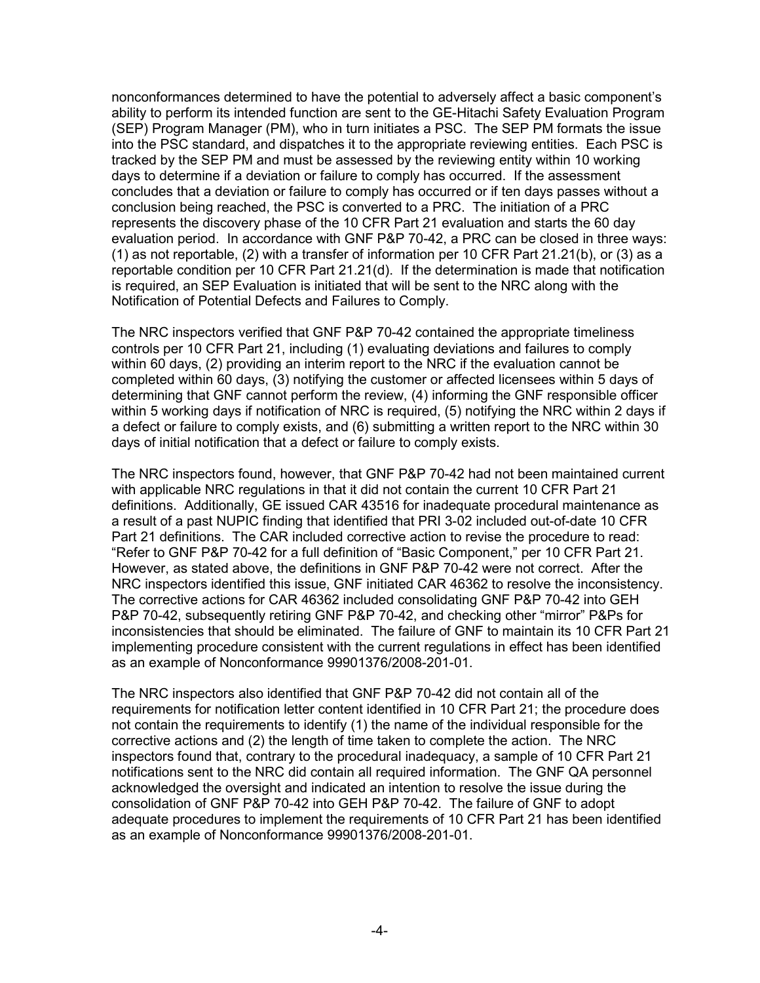nonconformances determined to have the potential to adversely affect a basic component's ability to perform its intended function are sent to the GE-Hitachi Safety Evaluation Program (SEP) Program Manager (PM), who in turn initiates a PSC. The SEP PM formats the issue into the PSC standard, and dispatches it to the appropriate reviewing entities. Each PSC is tracked by the SEP PM and must be assessed by the reviewing entity within 10 working days to determine if a deviation or failure to comply has occurred. If the assessment concludes that a deviation or failure to comply has occurred or if ten days passes without a conclusion being reached, the PSC is converted to a PRC. The initiation of a PRC represents the discovery phase of the 10 CFR Part 21 evaluation and starts the 60 day evaluation period. In accordance with GNF P&P 70-42, a PRC can be closed in three ways: (1) as not reportable, (2) with a transfer of information per 10 CFR Part 21.21(b), or (3) as a reportable condition per 10 CFR Part 21.21(d). If the determination is made that notification is required, an SEP Evaluation is initiated that will be sent to the NRC along with the Notification of Potential Defects and Failures to Comply.

The NRC inspectors verified that GNF P&P 70-42 contained the appropriate timeliness controls per 10 CFR Part 21, including (1) evaluating deviations and failures to comply within 60 days, (2) providing an interim report to the NRC if the evaluation cannot be completed within 60 days, (3) notifying the customer or affected licensees within 5 days of determining that GNF cannot perform the review, (4) informing the GNF responsible officer within 5 working days if notification of NRC is required, (5) notifying the NRC within 2 days if a defect or failure to comply exists, and (6) submitting a written report to the NRC within 30 days of initial notification that a defect or failure to comply exists.

The NRC inspectors found, however, that GNF P&P 70-42 had not been maintained current with applicable NRC regulations in that it did not contain the current 10 CFR Part 21 definitions. Additionally, GE issued CAR 43516 for inadequate procedural maintenance as a result of a past NUPIC finding that identified that PRI 3-02 included out-of-date 10 CFR Part 21 definitions. The CAR included corrective action to revise the procedure to read: "Refer to GNF P&P 70-42 for a full definition of "Basic Component," per 10 CFR Part 21. However, as stated above, the definitions in GNF P&P 70-42 were not correct. After the NRC inspectors identified this issue, GNF initiated CAR 46362 to resolve the inconsistency. The corrective actions for CAR 46362 included consolidating GNF P&P 70-42 into GEH P&P 70-42, subsequently retiring GNF P&P 70-42, and checking other "mirror" P&Ps for inconsistencies that should be eliminated. The failure of GNF to maintain its 10 CFR Part 21 implementing procedure consistent with the current regulations in effect has been identified as an example of Nonconformance 99901376/2008-201-01.

The NRC inspectors also identified that GNF P&P 70-42 did not contain all of the requirements for notification letter content identified in 10 CFR Part 21; the procedure does not contain the requirements to identify (1) the name of the individual responsible for the corrective actions and (2) the length of time taken to complete the action. The NRC inspectors found that, contrary to the procedural inadequacy, a sample of 10 CFR Part 21 notifications sent to the NRC did contain all required information. The GNF QA personnel acknowledged the oversight and indicated an intention to resolve the issue during the consolidation of GNF P&P 70-42 into GEH P&P 70-42. The failure of GNF to adopt adequate procedures to implement the requirements of 10 CFR Part 21 has been identified as an example of Nonconformance 99901376/2008-201-01.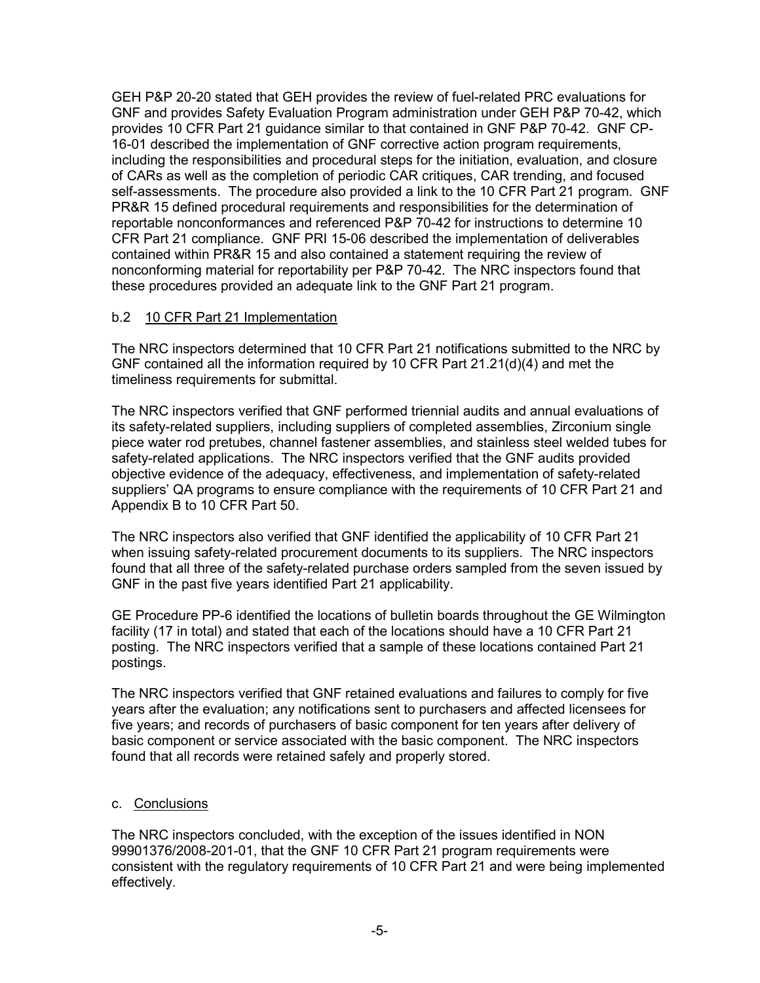GEH P&P 20-20 stated that GEH provides the review of fuel-related PRC evaluations for GNF and provides Safety Evaluation Program administration under GEH P&P 70-42, which provides 10 CFR Part 21 guidance similar to that contained in GNF P&P 70-42. GNF CP-16-01 described the implementation of GNF corrective action program requirements, including the responsibilities and procedural steps for the initiation, evaluation, and closure of CARs as well as the completion of periodic CAR critiques, CAR trending, and focused self-assessments. The procedure also provided a link to the 10 CFR Part 21 program. GNF PR&R 15 defined procedural requirements and responsibilities for the determination of reportable nonconformances and referenced P&P 70-42 for instructions to determine 10 CFR Part 21 compliance. GNF PRI 15-06 described the implementation of deliverables contained within PR&R 15 and also contained a statement requiring the review of nonconforming material for reportability per P&P 70-42. The NRC inspectors found that these procedures provided an adequate link to the GNF Part 21 program.

## b.2 10 CFR Part 21 Implementation

The NRC inspectors determined that 10 CFR Part 21 notifications submitted to the NRC by GNF contained all the information required by 10 CFR Part 21.21(d)(4) and met the timeliness requirements for submittal.

The NRC inspectors verified that GNF performed triennial audits and annual evaluations of its safety-related suppliers, including suppliers of completed assemblies, Zirconium single piece water rod pretubes, channel fastener assemblies, and stainless steel welded tubes for safety-related applications. The NRC inspectors verified that the GNF audits provided objective evidence of the adequacy, effectiveness, and implementation of safety-related suppliers' QA programs to ensure compliance with the requirements of 10 CFR Part 21 and Appendix B to 10 CFR Part 50.

The NRC inspectors also verified that GNF identified the applicability of 10 CFR Part 21 when issuing safety-related procurement documents to its suppliers. The NRC inspectors found that all three of the safety-related purchase orders sampled from the seven issued by GNF in the past five years identified Part 21 applicability.

GE Procedure PP-6 identified the locations of bulletin boards throughout the GE Wilmington facility (17 in total) and stated that each of the locations should have a 10 CFR Part 21 posting. The NRC inspectors verified that a sample of these locations contained Part 21 postings.

The NRC inspectors verified that GNF retained evaluations and failures to comply for five years after the evaluation; any notifications sent to purchasers and affected licensees for five years; and records of purchasers of basic component for ten years after delivery of basic component or service associated with the basic component. The NRC inspectors found that all records were retained safely and properly stored.

### c. Conclusions

The NRC inspectors concluded, with the exception of the issues identified in NON 99901376/2008-201-01, that the GNF 10 CFR Part 21 program requirements were consistent with the regulatory requirements of 10 CFR Part 21 and were being implemented effectively.